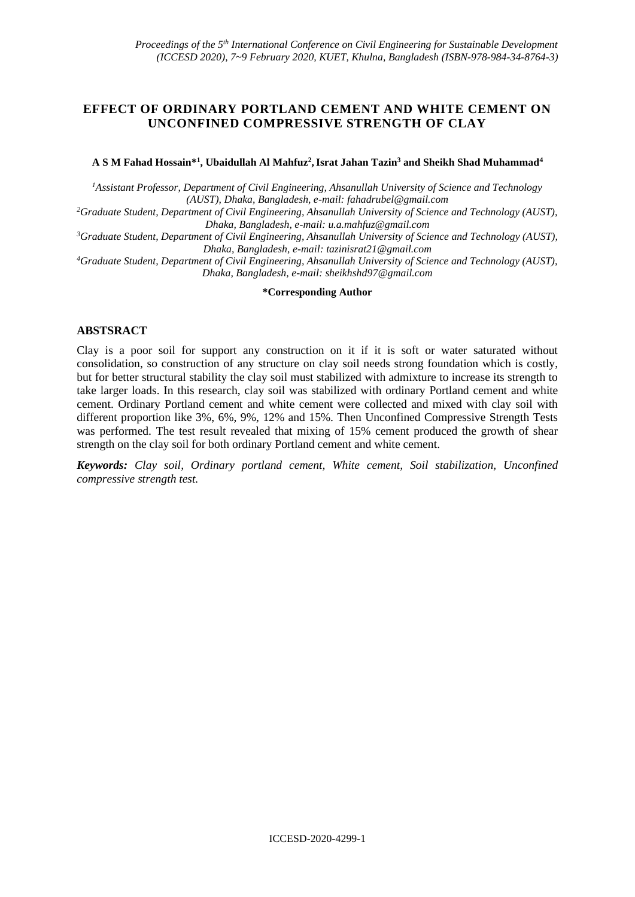# **EFFECT OF ORDINARY PORTLAND CEMENT AND WHITE CEMENT ON UNCONFINED COMPRESSIVE STRENGTH OF CLAY**

#### **A S M Fahad Hossain\*<sup>1</sup> , Ubaidullah Al Mahfuz<sup>2</sup> ,Israt Jahan Tazin<sup>3</sup> and Sheikh Shad Muhammad<sup>4</sup>**

*<sup>1</sup>Assistant Professor, Department of Civil Engineering, Ahsanullah University of Science and Technology (AUST), Dhaka, Bangladesh, e-mail[: fahadrubel@gmail.com](mailto:fahadrubel@gmail.com)*

*<sup>2</sup>Graduate Student, Department of Civil Engineering, Ahsanullah University of Science and Technology (AUST), Dhaka, Bangladesh, e-mail: [u.a.mahfuz@gmail.com](mailto:u.a.mahfuz@gmail.com)*

*<sup>3</sup>Graduate Student, Department of Civil Engineering, Ahsanullah University of Science and Technology (AUST), Dhaka, Bangladesh, e-mail: [tazinisrat21@gmail.com](mailto:tazinisrat21@gmail.com)*

*<sup>4</sup>Graduate Student, Department of Civil Engineering, Ahsanullah University of Science and Technology (AUST), Dhaka, Bangladesh, e-mail: [sheikhshd97@gmail.com](mailto:sheikhshd97@gmail.com)*

#### **\*Corresponding Author**

### **ABSTSRACT**

Clay is a poor soil for support any construction on it if it is soft or water saturated without consolidation, so construction of any structure on clay soil needs strong foundation which is costly, but for better structural stability the clay soil must stabilized with admixture to increase its strength to take larger loads. In this research, clay soil was stabilized with ordinary Portland cement and white cement. Ordinary Portland cement and white cement were collected and mixed with clay soil with different proportion like 3%, 6%, 9%, 12% and 15%. Then Unconfined Compressive Strength Tests was performed. The test result revealed that mixing of 15% cement produced the growth of shear strength on the clay soil for both ordinary Portland cement and white cement.

*Keywords: Clay soil, Ordinary portland cement, White cement, Soil stabilization, Unconfined compressive strength test.*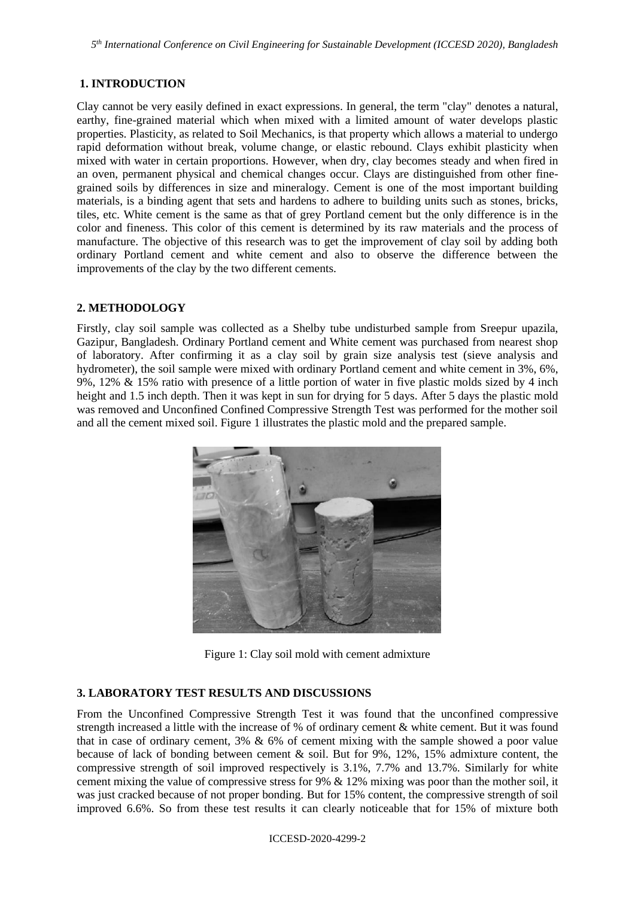*5 th International Conference on Civil Engineering for Sustainable Development (ICCESD 2020), Bangladesh*

# **1. INTRODUCTION**

Clay cannot be very easily defined in exact expressions. In general, the term "clay" denotes a natural, earthy, fine-grained material which when mixed with a limited amount of water develops plastic properties. Plasticity, as related to Soil Mechanics, is that property which allows a material to undergo rapid deformation without break, volume change, or elastic rebound. Clays exhibit [plasticity](https://en.wikipedia.org/wiki/Plasticity_(physics)) when mixed with water in certain proportions. However, when dry, clay becomes steady and when [fired](https://en.wikipedia.org/wiki/Pottery_firing) in an [oven,](https://en.wikipedia.org/wiki/Kiln) permanent physical and chemical changes occur. Clays are distinguished from other finegrained soils by differences in size and mineralogy. Cement is one of the most important building materials, is a binding agent that sets and hardens to adhere to building units such as stones, bricks, tiles, etc. [White cement](https://www.constrobazaar.com/buyer-search?City_Id=0&Country_Id=1&Location=India&Location_Id=0&State_Id=0&searchid=18ec4b3d-c4c3-820f-9775-81fa2393ceeb&searchtext=White%2520cement%2520&searchtype=ProductService) is the same as that of grey [Portland cement](https://www.constrobazaar.com/buyer-search?City_Id=0&Country_Id=1&Location=India&Location_Id=0&State_Id=0&searchid=18ec4b3d-c4c3-820f-9775-81fa2393ceeb&searchtext=White%2520cement%2520&searchtype=ProductService) but the only difference is in the color and fineness. This color of this cement is determined by its raw materials and the process of manufacture. The objective of this research was to get the improvement of clay soil by adding both ordinary Portland cement and white cement and also to observe the difference between the improvements of the clay by the two different cements.

# **2. METHODOLOGY**

Firstly, clay soil sample was collected as a Shelby tube undisturbed sample from Sreepur upazila, Gazipur, Bangladesh. Ordinary Portland cement and White cement was purchased from nearest shop of laboratory. After confirming it as a clay soil by grain size analysis test (sieve analysis and hydrometer), the soil sample were mixed with ordinary Portland cement and white cement in 3%, 6%, 9%, 12% & 15% ratio with presence of a little portion of water in five plastic molds sized by 4 inch height and 1.5 inch depth. Then it was kept in sun for drying for 5 days. After 5 days the plastic mold was removed and Unconfined Confined Compressive Strength Test was performed for the mother soil and all the cement mixed soil. Figure 1 illustrates the plastic mold and the prepared sample.



Figure 1: Clay soil mold with cement admixture

# **3. LABORATORY TEST RESULTS AND DISCUSSIONS**

From the Unconfined Compressive Strength Test it was found that the unconfined compressive strength increased a little with the increase of % of ordinary cement & white cement. But it was found that in case of ordinary cement, 3% & 6% of cement mixing with the sample showed a poor value because of lack of bonding between cement & soil. But for 9%, 12%, 15% admixture content, the compressive strength of soil improved respectively is 3.1%, 7.7% and 13.7%. Similarly for white cement mixing the value of compressive stress for 9% & 12% mixing was poor than the mother soil, it was just cracked because of not proper bonding. But for 15% content, the compressive strength of soil improved 6.6%. So from these test results it can clearly noticeable that for 15% of mixture both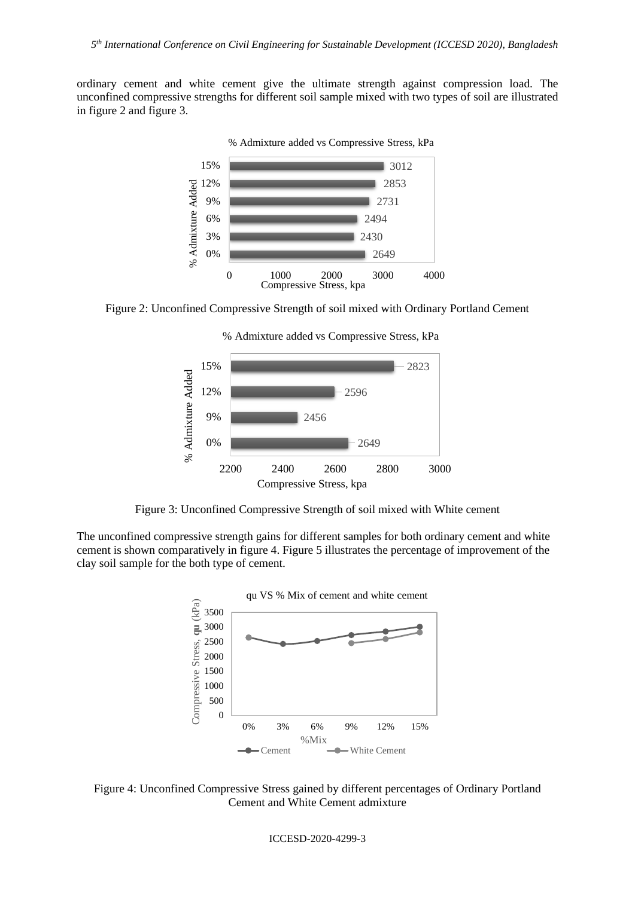ordinary cement and white cement give the ultimate strength against compression load. The unconfined compressive strengths for different soil sample mixed with two types of soil are illustrated in figure 2 and figure 3.



Figure 2: Unconfined Compressive Strength of soil mixed with Ordinary Portland Cement





Figure 3: Unconfined Compressive Strength of soil mixed with White cement

The unconfined compressive strength gains for different samples for both ordinary cement and white cement is shown comparatively in figure 4. Figure 5 illustrates the percentage of improvement of the clay soil sample for the both type of cement.



Figure 4: Unconfined Compressive Stress gained by different percentages of Ordinary Portland Cement and White Cement admixture

ICCESD-2020-4299-3